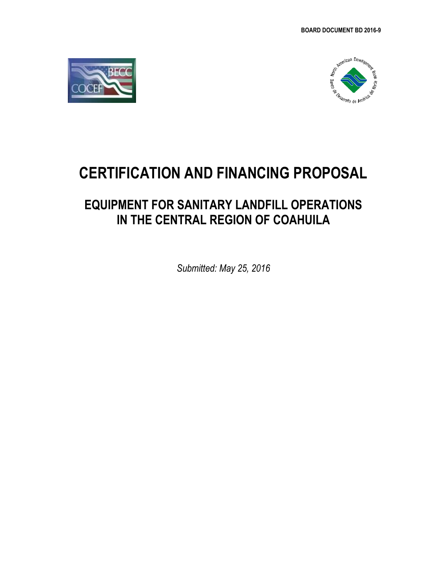



# **CERTIFICATION AND FINANCING PROPOSAL**

# **EQUIPMENT FOR SANITARY LANDFILL OPERATIONS IN THE CENTRAL REGION OF COAHUILA**

*Submitted: May 25, 2016*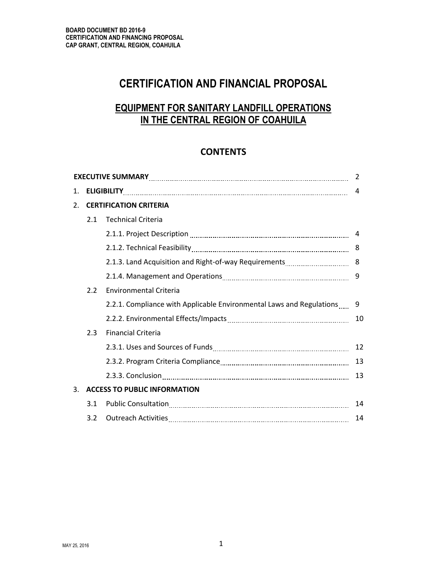# **CERTIFICATION AND FINANCIAL PROPOSAL**

# **EQUIPMENT FOR SANITARY LANDFILL OPERATIONS IN THE CENTRAL REGION OF COAHUILA**

# **CONTENTS**

|    |     |                                                                                                                | 2  |  |  |  |  |
|----|-----|----------------------------------------------------------------------------------------------------------------|----|--|--|--|--|
| 1. |     |                                                                                                                |    |  |  |  |  |
| 2. |     | <b>CERTIFICATION CRITERIA</b>                                                                                  |    |  |  |  |  |
|    | 2.1 | <b>Technical Criteria</b>                                                                                      |    |  |  |  |  |
|    |     |                                                                                                                |    |  |  |  |  |
|    |     |                                                                                                                | 8  |  |  |  |  |
|    |     |                                                                                                                |    |  |  |  |  |
|    |     |                                                                                                                | 9  |  |  |  |  |
|    | 2.2 | <b>Environmental Criteria</b>                                                                                  |    |  |  |  |  |
|    |     | 2.2.1. Compliance with Applicable Environmental Laws and Regulations  9                                        |    |  |  |  |  |
|    |     |                                                                                                                | 10 |  |  |  |  |
|    | 2.3 | <b>Financial Criteria</b>                                                                                      |    |  |  |  |  |
|    |     |                                                                                                                |    |  |  |  |  |
|    |     | 2.3.2. Program Criteria Compliance [11, 2010] Manuscritt, Program Criteria Compliance [11, 2010] Manuscritt, P | 13 |  |  |  |  |
|    |     |                                                                                                                | 13 |  |  |  |  |
| 3. |     | <b>ACCESS TO PUBLIC INFORMATION</b>                                                                            |    |  |  |  |  |
|    | 3.1 |                                                                                                                | 14 |  |  |  |  |
|    | 3.2 |                                                                                                                | 14 |  |  |  |  |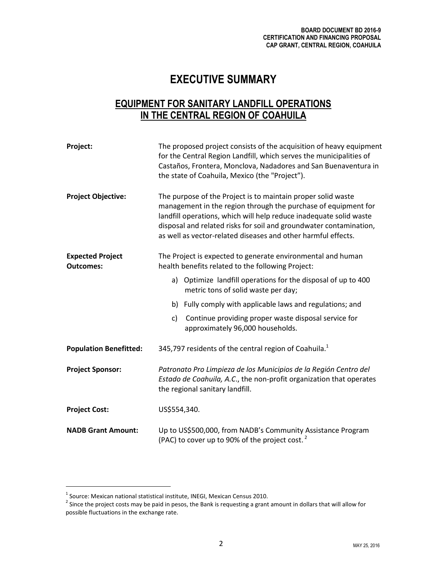# **EXECUTIVE SUMMARY**

# **EQUIPMENT FOR SANITARY LANDFILL OPERATIONS IN THE CENTRAL REGION OF COAHUILA**

| Project:                                    | The proposed project consists of the acquisition of heavy equipment<br>for the Central Region Landfill, which serves the municipalities of<br>Castaños, Frontera, Monclova, Nadadores and San Buenaventura in<br>the state of Coahuila, Mexico (the "Project").                                                                             |  |  |  |  |  |
|---------------------------------------------|---------------------------------------------------------------------------------------------------------------------------------------------------------------------------------------------------------------------------------------------------------------------------------------------------------------------------------------------|--|--|--|--|--|
| <b>Project Objective:</b>                   | The purpose of the Project is to maintain proper solid waste<br>management in the region through the purchase of equipment for<br>landfill operations, which will help reduce inadequate solid waste<br>disposal and related risks for soil and groundwater contamination,<br>as well as vector-related diseases and other harmful effects. |  |  |  |  |  |
| <b>Expected Project</b><br><b>Outcomes:</b> | The Project is expected to generate environmental and human<br>health benefits related to the following Project:                                                                                                                                                                                                                            |  |  |  |  |  |
|                                             | a) Optimize landfill operations for the disposal of up to 400<br>metric tons of solid waste per day;                                                                                                                                                                                                                                        |  |  |  |  |  |
|                                             | b) Fully comply with applicable laws and regulations; and                                                                                                                                                                                                                                                                                   |  |  |  |  |  |
|                                             | Continue providing proper waste disposal service for<br>$\mathsf{C}$<br>approximately 96,000 households.                                                                                                                                                                                                                                    |  |  |  |  |  |
| <b>Population Benefitted:</b>               | 345,797 residents of the central region of Coahuila. <sup>1</sup>                                                                                                                                                                                                                                                                           |  |  |  |  |  |
| <b>Project Sponsor:</b>                     | Patronato Pro Limpieza de los Municipios de la Región Centro del<br>Estado de Coahuila, A.C., the non-profit organization that operates<br>the regional sanitary landfill.                                                                                                                                                                  |  |  |  |  |  |
| <b>Project Cost:</b>                        | US\$554,340.                                                                                                                                                                                                                                                                                                                                |  |  |  |  |  |
| <b>NADB Grant Amount:</b>                   | Up to US\$500,000, from NADB's Community Assistance Program<br>(PAC) to cover up to 90% of the project cost. $^2$                                                                                                                                                                                                                           |  |  |  |  |  |

<sup>&</sup>lt;sup>1</sup> Source: Mexican national statistical institute, INEGI, Mexican Census 2010.<br><sup>2</sup> Since the project costs may be paid in pesos, the Bank is requesting a grant amount in dollars that will allow for possible fluctuations in the exchange rate.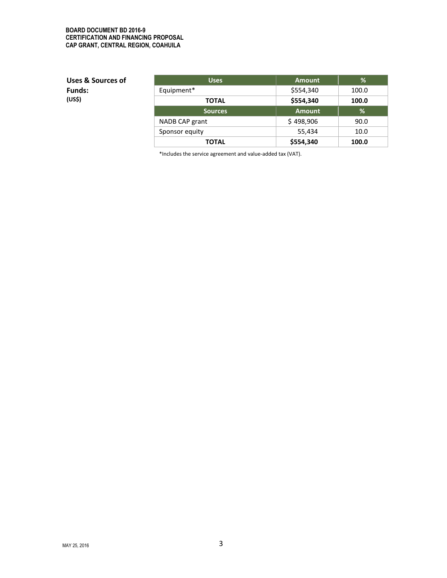#### **BOARD DOCUMENT BD 2016-9 CERTIFICATION AND FINANCING PROPOSAL CAP GRANT, CENTRAL REGION, COAHUILA**

**Uses & Sources of Funds: (US\$)**

| <b>Uses</b>    | <b>Amount</b> | %     |
|----------------|---------------|-------|
| Equipment*     | \$554,340     | 100.0 |
| <b>TOTAL</b>   | \$554,340     | 100.0 |
| <b>Sources</b> | <b>Amount</b> | %     |
| NADB CAP grant | \$498,906     | 90.0  |
| Sponsor equity | 55,434        | 10.0  |
| <b>TOTAL</b>   | \$554,340     | 100.0 |

\*Includes the service agreement and value-added tax (VAT).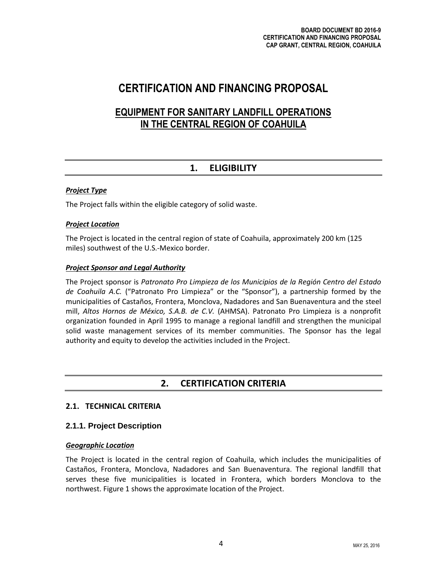# **CERTIFICATION AND FINANCING PROPOSAL**

# **EQUIPMENT FOR SANITARY LANDFILL OPERATIONS IN THE CENTRAL REGION OF COAHUILA**

# **1. ELIGIBILITY**

## *Project Type*

The Project falls within the eligible category of solid waste.

## *Project Location*

The Project is located in the central region of state of Coahuila, approximately 200 km (125 miles) southwest of the U.S.-Mexico border.

## *Project Sponsor and Legal Authority*

The Project sponsor is *Patronato Pro Limpieza de los Municipios de la Región Centro del Estado de Coahuila A.C.* ("Patronato Pro Limpieza" or the "Sponsor"), a partnership formed by the municipalities of Castaños, Frontera, Monclova, Nadadores and San Buenaventura and the steel mill, *Altos Hornos de México, S.A.B. de C.V.* (AHMSA). Patronato Pro Limpieza is a nonprofit organization founded in April 1995 to manage a regional landfill and strengthen the municipal solid waste management services of its member communities. The Sponsor has the legal authority and equity to develop the activities included in the Project.

# **2. CERTIFICATION CRITERIA**

# **2.1. TECHNICAL CRITERIA**

# **2.1.1. Project Description**

#### *Geographic Location*

The Project is located in the central region of Coahuila, which includes the municipalities of Castaños, Frontera, Monclova, Nadadores and San Buenaventura. The regional landfill that serves these five municipalities is located in Frontera, which borders Monclova to the northwest. Figure 1 shows the approximate location of the Project.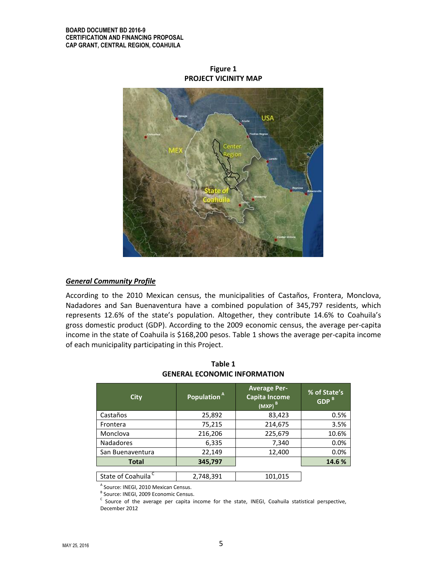USA

**Figure 1 PROJECT VICINITY MAP**

#### *General Community Profile*

According to the 2010 Mexican census, the municipalities of Castaños, Frontera, Monclova, Nadadores and San Buenaventura have a combined population of 345,797 residents, which represents 12.6% of the state's population. Altogether, they contribute 14.6% to Coahuila's gross domestic product (GDP). According to the 2009 economic census, the average per-capita income in the state of Coahuila is \$168,200 pesos. Table 1 shows the average per-capita income of each municipality participating in this Project.

| <b>City</b>                    | Population <sup>Al</sup> | <b>Average Per-</b><br><b>Capita Income</b><br>$(MXP)^B$ | % of State's<br>GDP <sup>B</sup> |  |
|--------------------------------|--------------------------|----------------------------------------------------------|----------------------------------|--|
| Castaños                       | 25,892                   | 83,423                                                   | 0.5%                             |  |
| Frontera                       | 75,215                   | 214,675                                                  | 3.5%                             |  |
| Monclova                       | 216,206                  | 225,679                                                  | 10.6%                            |  |
| <b>Nadadores</b>               | 6,335                    | 7,340                                                    | 0.0%                             |  |
| San Buenaventura               | 22,149                   | 12,400                                                   | 0.0%                             |  |
| Total                          | 345,797                  |                                                          | 14.6%                            |  |
|                                |                          |                                                          |                                  |  |
| State of Coahuila <sup>C</sup> | 2,748,391                | 101,015                                                  |                                  |  |

**Table 1 GENERAL ECONOMIC INFORMATION** 

A Source: INEGI, 2010 Mexican Census.

<sup>B</sup> Source: INEGI, 2009 Economic Census.

 $\textdegree$  Source of the average per capita income for the state, INEGI, Coahuila statistical perspective, December 2012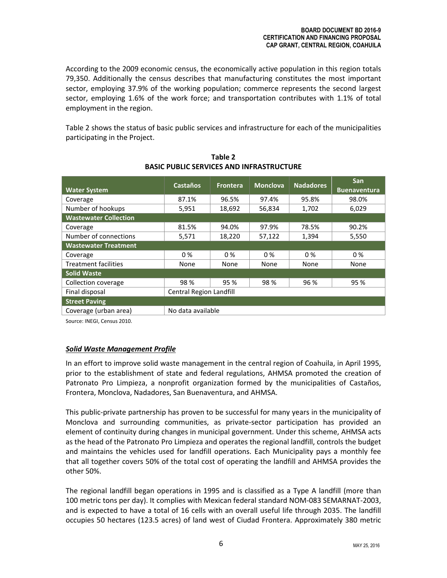According to the 2009 economic census, the economically active population in this region totals 79,350. Additionally the census describes that manufacturing constitutes the most important sector, employing 37.9% of the working population; commerce represents the second largest sector, employing 1.6% of the work force; and transportation contributes with 1.1% of total employment in the region.

Table 2 shows the status of basic public services and infrastructure for each of the municipalities participating in the Project.

| <b>Water System</b>          | <b>Castaños</b>                | <b>Frontera</b> | <b>Monclova</b> | <b>Nadadores</b> | <b>San</b><br><b>Buenaventura</b> |  |
|------------------------------|--------------------------------|-----------------|-----------------|------------------|-----------------------------------|--|
| Coverage                     | 87.1%                          | 96.5%           | 97.4%           | 95.8%            | 98.0%                             |  |
| Number of hookups            | 5,951                          | 18,692          | 56,834          | 1,702            | 6,029                             |  |
| <b>Wastewater Collection</b> |                                |                 |                 |                  |                                   |  |
| Coverage                     | 81.5%                          | 94.0%           | 97.9%           | 78.5%            | 90.2%                             |  |
| Number of connections        | 5,571                          | 18,220          | 57,122          | 1,394            | 5,550                             |  |
| <b>Wastewater Treatment</b>  |                                |                 |                 |                  |                                   |  |
| Coverage                     | $0\%$                          | $0\%$           | $0\%$           | $0\%$            | $0\%$                             |  |
| <b>Treatment facilities</b>  | None                           | None            | None            | None             | None                              |  |
| <b>Solid Waste</b>           |                                |                 |                 |                  |                                   |  |
| Collection coverage          | 98%                            | 95 %            | 98%             | 96 %             | 95 %                              |  |
| Final disposal               | <b>Central Region Landfill</b> |                 |                 |                  |                                   |  |
| <b>Street Paving</b>         |                                |                 |                 |                  |                                   |  |
| Coverage (urban area)        | No data available              |                 |                 |                  |                                   |  |

**Table 2 BASIC PUBLIC SERVICES AND INFRASTRUCTURE**

Source: INEGI, Census 2010.

#### *Solid Waste Management Profile*

In an effort to improve solid waste management in the central region of Coahuila, in April 1995, prior to the establishment of state and federal regulations, AHMSA promoted the creation of Patronato Pro Limpieza, a nonprofit organization formed by the municipalities of Castaños, Frontera, Monclova, Nadadores, San Buenaventura, and AHMSA.

This public-private partnership has proven to be successful for many years in the municipality of Monclova and surrounding communities, as private-sector participation has provided an element of continuity during changes in municipal government. Under this scheme, AHMSA acts as the head of the Patronato Pro Limpieza and operates the regional landfill, controls the budget and maintains the vehicles used for landfill operations. Each Municipality pays a monthly fee that all together covers 50% of the total cost of operating the landfill and AHMSA provides the other 50%.

The regional landfill began operations in 1995 and is classified as a Type A landfill (more than 100 metric tons per day). It complies with Mexican federal standard NOM-083 SEMARNAT-2003, and is expected to have a total of 16 cells with an overall useful life through 2035. The landfill occupies 50 hectares (123.5 acres) of land west of Ciudad Frontera. Approximately 380 metric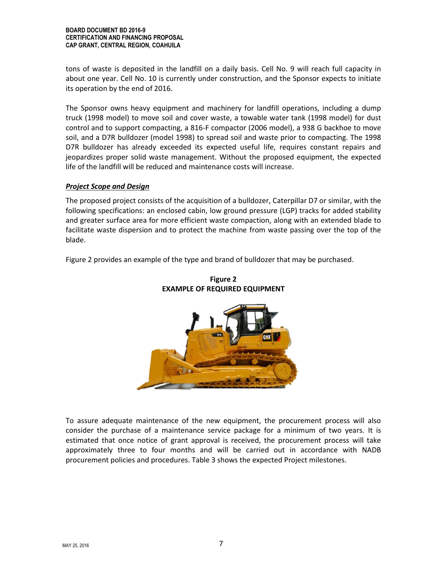#### **BOARD DOCUMENT BD 2016-9 CERTIFICATION AND FINANCING PROPOSAL CAP GRANT, CENTRAL REGION, COAHUILA**

tons of waste is deposited in the landfill on a daily basis. Cell No. 9 will reach full capacity in about one year. Cell No. 10 is currently under construction, and the Sponsor expects to initiate its operation by the end of 2016.

The Sponsor owns heavy equipment and machinery for landfill operations, including a dump truck (1998 model) to move soil and cover waste, a towable water tank (1998 model) for dust control and to support compacting, a 816-F compactor (2006 model), a 938 G backhoe to move soil, and a D7R bulldozer (model 1998) to spread soil and waste prior to compacting. The 1998 D7R bulldozer has already exceeded its expected useful life, requires constant repairs and jeopardizes proper solid waste management. Without the proposed equipment, the expected life of the landfill will be reduced and maintenance costs will increase.

#### *Project Scope and Design*

The proposed project consists of the acquisition of a bulldozer, Caterpillar D7 or similar, with the following specifications: an enclosed cabin, low ground pressure (LGP) tracks for added stability and greater surface area for more efficient waste compaction, along with an extended blade to facilitate waste dispersion and to protect the machine from waste passing over the top of the blade.

Figure 2 provides an example of the type and brand of bulldozer that may be purchased.



**Figure 2 EXAMPLE OF REQUIRED EQUIPMENT**

To assure adequate maintenance of the new equipment, the procurement process will also consider the purchase of a maintenance service package for a minimum of two years. It is estimated that once notice of grant approval is received, the procurement process will take approximately three to four months and will be carried out in accordance with NADB procurement policies and procedures. Table 3 shows the expected Project milestones.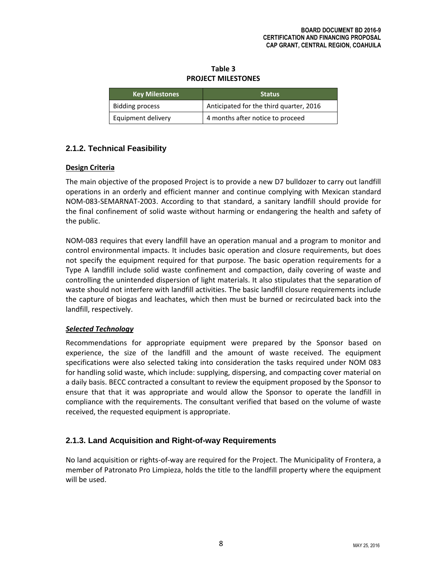**Table 3 PROJECT MILESTONES**

| <b>Key Milestones</b>  | <b>Status</b>                           |  |  |  |
|------------------------|-----------------------------------------|--|--|--|
| <b>Bidding process</b> | Anticipated for the third quarter, 2016 |  |  |  |
| Equipment delivery     | 4 months after notice to proceed        |  |  |  |

# **2.1.2. Technical Feasibility**

# **Design Criteria**

The main objective of the proposed Project is to provide a new D7 bulldozer to carry out landfill operations in an orderly and efficient manner and continue complying with Mexican standard NOM-083-SEMARNAT-2003. According to that standard, a sanitary landfill should provide for the final confinement of solid waste without harming or endangering the health and safety of the public.

NOM-083 requires that every landfill have an operation manual and a program to monitor and control environmental impacts. It includes basic operation and closure requirements, but does not specify the equipment required for that purpose. The basic operation requirements for a Type A landfill include solid waste confinement and compaction, daily covering of waste and controlling the unintended dispersion of light materials. It also stipulates that the separation of waste should not interfere with landfill activities. The basic landfill closure requirements include the capture of biogas and leachates, which then must be burned or recirculated back into the landfill, respectively.

# *Selected Technology*

Recommendations for appropriate equipment were prepared by the Sponsor based on experience, the size of the landfill and the amount of waste received. The equipment specifications were also selected taking into consideration the tasks required under NOM 083 for handling solid waste, which include: supplying, dispersing, and compacting cover material on a daily basis. BECC contracted a consultant to review the equipment proposed by the Sponsor to ensure that that it was appropriate and would allow the Sponsor to operate the landfill in compliance with the requirements. The consultant verified that based on the volume of waste received, the requested equipment is appropriate.

# **2.1.3. Land Acquisition and Right-of-way Requirements**

No land acquisition or rights-of-way are required for the Project. The Municipality of Frontera, a member of Patronato Pro Limpieza, holds the title to the landfill property where the equipment will be used.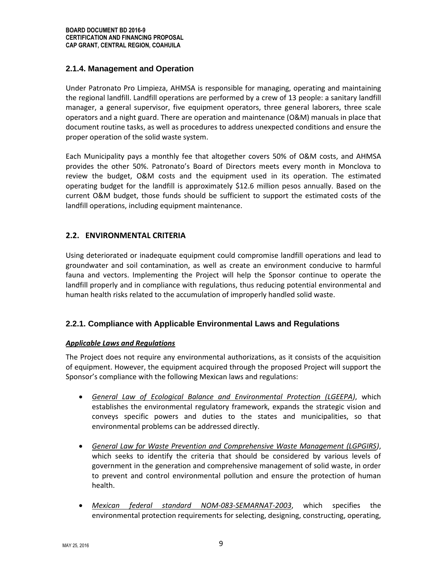# **2.1.4. Management and Operation**

Under Patronato Pro Limpieza, AHMSA is responsible for managing, operating and maintaining the regional landfill. Landfill operations are performed by a crew of 13 people: a sanitary landfill manager, a general supervisor, five equipment operators, three general laborers, three scale operators and a night guard. There are operation and maintenance (O&M) manuals in place that document routine tasks, as well as procedures to address unexpected conditions and ensure the proper operation of the solid waste system.

Each Municipality pays a monthly fee that altogether covers 50% of O&M costs, and AHMSA provides the other 50%. Patronato's Board of Directors meets every month in Monclova to review the budget, O&M costs and the equipment used in its operation. The estimated operating budget for the landfill is approximately \$12.6 million pesos annually. Based on the current O&M budget, those funds should be sufficient to support the estimated costs of the landfill operations, including equipment maintenance.

# **2.2. ENVIRONMENTAL CRITERIA**

Using deteriorated or inadequate equipment could compromise landfill operations and lead to groundwater and soil contamination, as well as create an environment conducive to harmful fauna and vectors. Implementing the Project will help the Sponsor continue to operate the landfill properly and in compliance with regulations, thus reducing potential environmental and human health risks related to the accumulation of improperly handled solid waste.

# **2.2.1. Compliance with Applicable Environmental Laws and Regulations**

#### *Applicable Laws and Regulations*

The Project does not require any environmental authorizations, as it consists of the acquisition of equipment. However, the equipment acquired through the proposed Project will support the Sponsor's compliance with the following Mexican laws and regulations:

- *General Law of Ecological Balance and Environmental Protection (LGEEPA)*, which establishes the environmental regulatory framework, expands the strategic vision and conveys specific powers and duties to the states and municipalities, so that environmental problems can be addressed directly.
- *General Law for Waste Prevention and Comprehensive Waste Management (LGPGIRS)*, which seeks to identify the criteria that should be considered by various levels of government in the generation and comprehensive management of solid waste, in order to prevent and control environmental pollution and ensure the protection of human health.
- *Mexican federal standard NOM-083-SEMARNAT-2003*, which specifies the environmental protection requirements for selecting, designing, constructing, operating,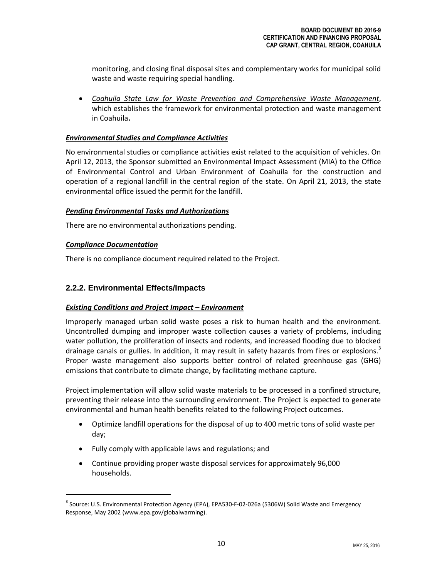monitoring, and closing final disposal sites and complementary works for municipal solid waste and waste requiring special handling.

 *Coahuila State Law for Waste Prevention and Comprehensive Waste Management*, which establishes the framework for environmental protection and waste management in Coahuila**.**

#### *Environmental Studies and Compliance Activities*

No environmental studies or compliance activities exist related to the acquisition of vehicles. On April 12, 2013, the Sponsor submitted an Environmental Impact Assessment (MIA) to the Office of Environmental Control and Urban Environment of Coahuila for the construction and operation of a regional landfill in the central region of the state. On April 21, 2013, the state environmental office issued the permit for the landfill.

## *Pending Environmental Tasks and Authorizations*

There are no environmental authorizations pending.

## *Compliance Documentation*

There is no compliance document required related to the Project.

# **2.2.2. Environmental Effects/Impacts**

# *Existing Conditions and Project Impact – Environment*

Improperly managed urban solid waste poses a risk to human health and the environment. Uncontrolled dumping and improper waste collection causes a variety of problems, including water pollution, the proliferation of insects and rodents, and increased flooding due to blocked drainage canals or gullies. In addition, it may result in safety hazards from fires or explosions.<sup>3</sup> Proper waste management also supports better control of related greenhouse gas (GHG) emissions that contribute to climate change, by facilitating methane capture.

Project implementation will allow solid waste materials to be processed in a confined structure, preventing their release into the surrounding environment. The Project is expected to generate environmental and human health benefits related to the following Project outcomes.

- Optimize landfill operations for the disposal of up to 400 metric tons of solid waste per day;
- Fully comply with applicable laws and regulations; and
- Continue providing proper waste disposal services for approximately 96,000 households.

<sup>&</sup>lt;sup>3</sup> Source: U.S. Environmental Protection Agency (EPA), EPA530-F-02-026a (5306W) Solid Waste and Emergency Response, May 2002 [\(www.epa.gov/globalwarming\)](http://www.epa.gov/globalwarming).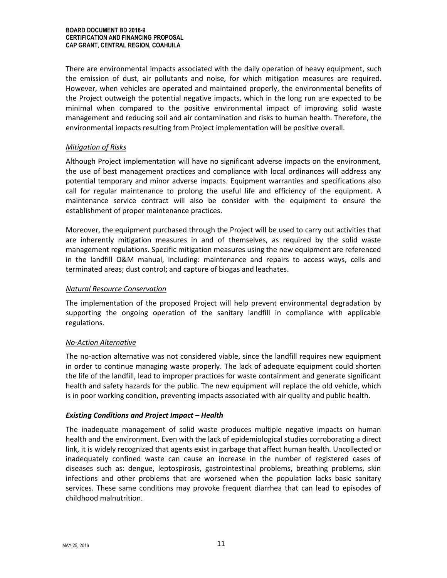There are environmental impacts associated with the daily operation of heavy equipment, such the emission of dust, air pollutants and noise, for which mitigation measures are required. However, when vehicles are operated and maintained properly, the environmental benefits of the Project outweigh the potential negative impacts, which in the long run are expected to be minimal when compared to the positive environmental impact of improving solid waste management and reducing soil and air contamination and risks to human health. Therefore, the environmental impacts resulting from Project implementation will be positive overall.

#### *Mitigation of Risks*

Although Project implementation will have no significant adverse impacts on the environment, the use of best management practices and compliance with local ordinances will address any potential temporary and minor adverse impacts. Equipment warranties and specifications also call for regular maintenance to prolong the useful life and efficiency of the equipment. A maintenance service contract will also be consider with the equipment to ensure the establishment of proper maintenance practices.

Moreover, the equipment purchased through the Project will be used to carry out activities that are inherently mitigation measures in and of themselves, as required by the solid waste management regulations. Specific mitigation measures using the new equipment are referenced in the landfill O&M manual, including: maintenance and repairs to access ways, cells and terminated areas; dust control; and capture of biogas and leachates.

#### *Natural Resource Conservation*

The implementation of the proposed Project will help prevent environmental degradation by supporting the ongoing operation of the sanitary landfill in compliance with applicable regulations.

#### *No-Action Alternative*

The no-action alternative was not considered viable, since the landfill requires new equipment in order to continue managing waste properly. The lack of adequate equipment could shorten the life of the landfill, lead to improper practices for waste containment and generate significant health and safety hazards for the public. The new equipment will replace the old vehicle, which is in poor working condition, preventing impacts associated with air quality and public health.

#### *Existing Conditions and Project Impact – Health*

The inadequate management of solid waste produces multiple negative impacts on human health and the environment. Even with the lack of epidemiological studies corroborating a direct link, it is widely recognized that agents exist in garbage that affect human health. Uncollected or inadequately confined waste can cause an increase in the number of registered cases of diseases such as: dengue, leptospirosis, gastrointestinal problems, breathing problems, skin infections and other problems that are worsened when the population lacks basic sanitary services. These same conditions may provoke frequent diarrhea that can lead to episodes of childhood malnutrition.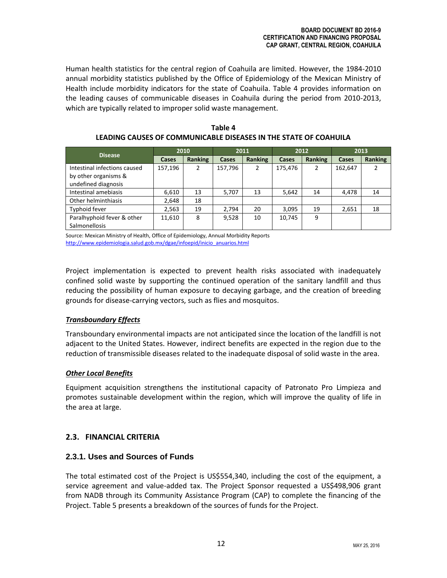Human health statistics for the central region of Coahuila are limited. However, the 1984-2010 annual morbidity statistics published by the Office of Epidemiology of the Mexican Ministry of Health include morbidity indicators for the state of Coahuila. Table 4 provides information on the leading causes of communicable diseases in Coahuila during the period from 2010-2013, which are typically related to improper solid waste management.

| <b>Disease</b>               | 2010    |         | 2011    |         | 2012    |         | 2013    |         |
|------------------------------|---------|---------|---------|---------|---------|---------|---------|---------|
|                              | Cases   | Ranking | Cases   | Ranking | Cases   | Ranking | Cases   | Ranking |
| Intestinal infections caused | 157,196 | 2       | 157,796 | 2       | 175.476 | 2       | 162,647 |         |
| by other organisms &         |         |         |         |         |         |         |         |         |
| undefined diagnosis          |         |         |         |         |         |         |         |         |
| Intestinal amebiasis         | 6,610   | 13      | 5,707   | 13      | 5,642   | 14      | 4,478   | 14      |
| Other helminthiasis          | 2,648   | 18      |         |         |         |         |         |         |
| Typhoid fever                | 2,563   | 19      | 2,794   | 20      | 3,095   | 19      | 2,651   | 18      |
| Paralhyphoid fever & other   | 11,610  | 8       | 9,528   | 10      | 10,745  | 9       |         |         |
| <b>Salmonellosis</b>         |         |         |         |         |         |         |         |         |

**Table 4 LEADING CAUSES OF COMMUNICABLE DISEASES IN THE STATE OF COAHUILA**

Source: Mexican Ministry of Health, Office of Epidemiology, Annual Morbidity Reports [http://www.epidemiologia.salud.gob.mx/dgae/infoepid/inicio\\_anuarios.html](http://www.epidemiologia.salud.gob.mx/dgae/infoepid/inicio_anuarios.html)

Project implementation is expected to prevent health risks associated with inadequately confined solid waste by supporting the continued operation of the sanitary landfill and thus reducing the possibility of human exposure to decaying garbage, and the creation of breeding grounds for disease-carrying vectors, such as flies and mosquitos.

# *Transboundary Effects*

Transboundary environmental impacts are not anticipated since the location of the landfill is not adjacent to the United States. However, indirect benefits are expected in the region due to the reduction of transmissible diseases related to the inadequate disposal of solid waste in the area.

# *Other Local Benefits*

Equipment acquisition strengthens the institutional capacity of Patronato Pro Limpieza and promotes sustainable development within the region, which will improve the quality of life in the area at large.

# **2.3. FINANCIAL CRITERIA**

# **2.3.1. Uses and Sources of Funds**

The total estimated cost of the Project is US\$554,340, including the cost of the equipment, a service agreement and value-added tax. The Project Sponsor requested a US\$498,906 grant from NADB through its Community Assistance Program (CAP) to complete the financing of the Project. Table 5 presents a breakdown of the sources of funds for the Project.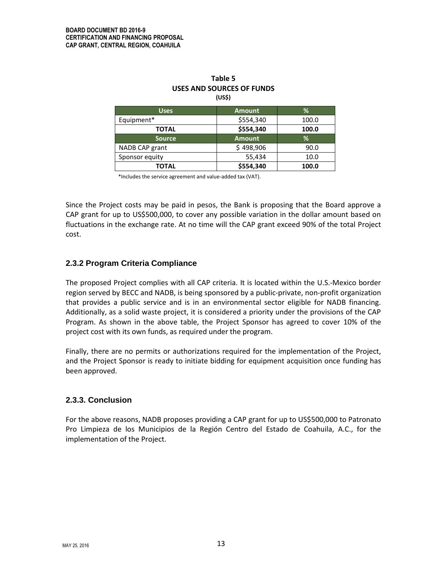| ,,,,,          |               |       |  |  |  |
|----------------|---------------|-------|--|--|--|
| <b>Uses</b>    | <b>Amount</b> | %     |  |  |  |
| Equipment*     | \$554,340     | 100.0 |  |  |  |
| <b>TOTAL</b>   | \$554,340     | 100.0 |  |  |  |
| <b>Source</b>  | <b>Amount</b> | %     |  |  |  |
| NADB CAP grant | \$498,906     | 90.0  |  |  |  |
| Sponsor equity | 55,434        | 10.0  |  |  |  |
| TOTAL          | \$554,340     | 100.0 |  |  |  |

#### **Table 5 USES AND SOURCES OF FUNDS (US\$)**

\*Includes the service agreement and value-added tax (VAT).

Since the Project costs may be paid in pesos, the Bank is proposing that the Board approve a CAP grant for up to US\$500,000, to cover any possible variation in the dollar amount based on fluctuations in the exchange rate. At no time will the CAP grant exceed 90% of the total Project cost.

# **2.3.2 Program Criteria Compliance**

The proposed Project complies with all CAP criteria. It is located within the U.S.‐Mexico border region served by BECC and NADB, is being sponsored by a public-private, non-profit organization that provides a public service and is in an environmental sector eligible for NADB financing. Additionally, as a solid waste project, it is considered a priority under the provisions of the CAP Program. As shown in the above table, the Project Sponsor has agreed to cover 10% of the project cost with its own funds, as required under the program.

Finally, there are no permits or authorizations required for the implementation of the Project, and the Project Sponsor is ready to initiate bidding for equipment acquisition once funding has been approved.

#### **2.3.3. Conclusion**

For the above reasons, NADB proposes providing a CAP grant for up to US\$500,000 to Patronato Pro Limpieza de los Municipios de la Región Centro del Estado de Coahuila, A.C., for the implementation of the Project.